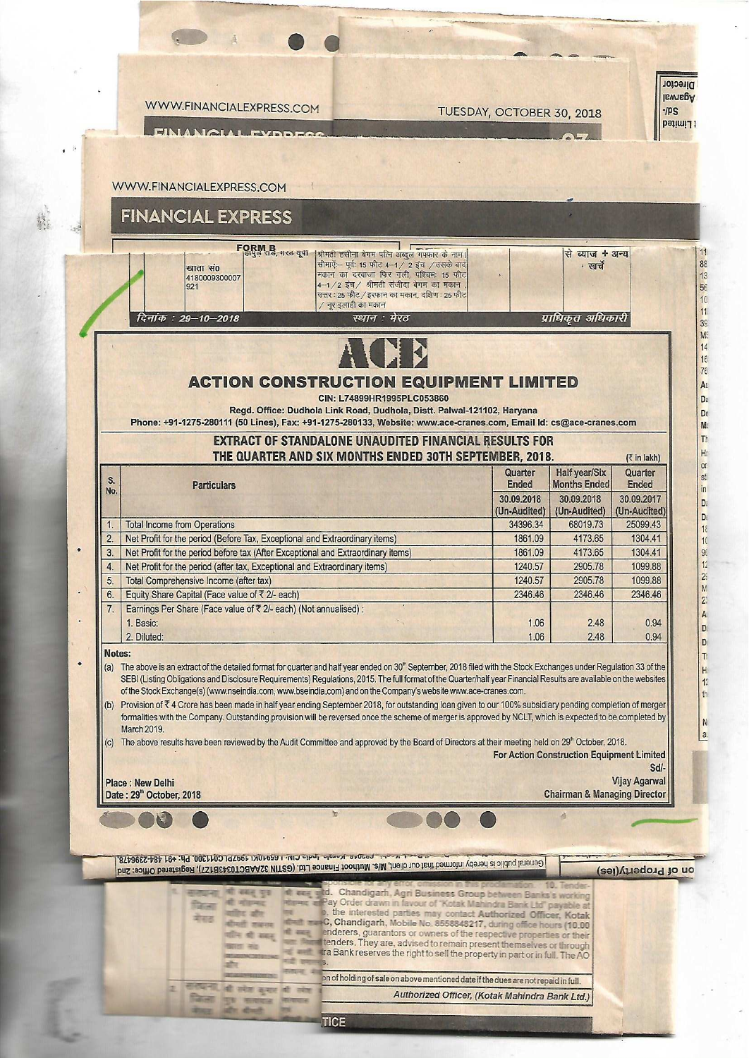

## **FINANCIAL EXPRESS**

|                                                                                                                                                                                                                                                                                                                                            | खाता सं0<br>4180009300007<br>921                                                 | FORM B<br> हापुरु राउं, नरठ यूना  श्रीमती हसीना बेगम पत्नि अब्दुल गएफार के नाम।<br>सीमाऐं- पूर्वः 15 फीट 4-1 / 2 इंच / उसके बाद<br>मकान का दरवाजा फिर गली, पश्चिम: 15 फीट<br>4-1/2 इंच/ श्रीमती संजीदा बेगम का मकान<br>उत्तर : 25 फीट / इरफान का मकान, दक्षिण : 25 फीट<br>/ नूर इलाही का मकान |                            | से ब्याज + अन्य<br>∙ खर्चे           |                                           |  |  |  |  |  |  |
|--------------------------------------------------------------------------------------------------------------------------------------------------------------------------------------------------------------------------------------------------------------------------------------------------------------------------------------------|----------------------------------------------------------------------------------|-----------------------------------------------------------------------------------------------------------------------------------------------------------------------------------------------------------------------------------------------------------------------------------------------|----------------------------|--------------------------------------|-------------------------------------------|--|--|--|--|--|--|
|                                                                                                                                                                                                                                                                                                                                            | दिनांक: 29–10–2018                                                               | स्थान : मेरठ                                                                                                                                                                                                                                                                                  |                            | प्राधिकृत अधिकारी                    |                                           |  |  |  |  |  |  |
| <b>ACTION CONSTRUCTION EQUIPMENT LIMITED</b><br>CIN: L74899HR1995PLC053860<br>Regd. Office: Dudhola Link Road, Dudhola, Distt. Palwal-121102, Haryana<br>Phone: +91-1275-280111 (50 Lines), Fax: +91-1275-280133, Website: www.ace-cranes.com, Email Id: cs@ace-cranes.com<br><b>EXTRACT OF STANDALONE UNAUDITED FINANCIAL RESULTS FOR</b> |                                                                                  |                                                                                                                                                                                                                                                                                               |                            |                                      |                                           |  |  |  |  |  |  |
| S.                                                                                                                                                                                                                                                                                                                                         | <b>Particulars</b>                                                               | THE QUARTER AND SIX MONTHS ENDED 30TH SEPTEMBER, 2018.                                                                                                                                                                                                                                        | Quarter<br><b>Ended</b>    | Half year/Six<br><b>Months Ended</b> | $(3 \times 1)$<br>Quarter<br><b>Ended</b> |  |  |  |  |  |  |
| No.                                                                                                                                                                                                                                                                                                                                        |                                                                                  |                                                                                                                                                                                                                                                                                               | 30.09.2018<br>(Un-Audited) | 30.09.2018<br>(Un-Audited)           | 30.09.2017<br>(Un-Audited)                |  |  |  |  |  |  |
|                                                                                                                                                                                                                                                                                                                                            | <b>Total Income from Operations</b>                                              |                                                                                                                                                                                                                                                                                               | 34396.34                   | 68019.73                             | 25099.43                                  |  |  |  |  |  |  |
| 2.                                                                                                                                                                                                                                                                                                                                         | Net Profit for the period (Before Tax, Exceptional and Extraordinary items)      |                                                                                                                                                                                                                                                                                               | 1861.09                    | 4173.65                              | 1304.41                                   |  |  |  |  |  |  |
| 3.                                                                                                                                                                                                                                                                                                                                         | Net Profit for the period before tax (After Exceptional and Extraordinary items) |                                                                                                                                                                                                                                                                                               | 1861.09                    | 4173.65                              | 1304.41                                   |  |  |  |  |  |  |
|                                                                                                                                                                                                                                                                                                                                            | Net Profit for the period (after tax, Exceptional and Extraordinary items)       |                                                                                                                                                                                                                                                                                               | 1240.57                    | 2905.78                              | 1099.88                                   |  |  |  |  |  |  |
|                                                                                                                                                                                                                                                                                                                                            | Total Comprehensive Income (after tax)                                           |                                                                                                                                                                                                                                                                                               | 1240.57                    | 2005 78                              | 1000.88                                   |  |  |  |  |  |  |

omprenensive income (after t Equity Share Capital (Face value of ₹ 2/- each) 6 Earnings Per Share (Face value of ₹ 2/- each) (Not annualised) : 7. 1. Basic:

## Notes:

2. Diluted:

 $\ddot{\phantom{a}}$ 

(a) The above is an extract of the detailed format for quarter and half year ended on 30" September, 2018 filed with the Stock Exchanges under Regulation 33 of the SEBI (Listing Obligations and Disclosure Requirements) Regulations, 2015. The full format of the Quarter/half year Financial Results are available on the websites of the Stock Exchange(s) (www.nseindia.com, www.bseindia.com) and on the Company's website www.ace-cranes.com.

(b) Provision of ₹4 Crore has been made in half year ending September 2018, for outstanding loan given to our 100% subsidiary pending completion of merger formalities with the Company. Outstanding provision will be reversed once the scheme of merger is approved by NCLT, which is expected to be completed by March 2019.

The above results have been reviewed by the Audit Committee and approved by the Board of Directors at their meeting held on 29<sup>®</sup> October, 2018.  $(c)$ For Action Construction Equipment Limited

Sd/-**Vijay Agarwal Chairman & Managing Director** 

Date: 29<sup>th</sup> October, 2018

रो सन्द

2346.46

1.06

1.06

2346.46

248

2.48

2346.46

0.94

0.94

m DIT + 12-7 TO 1000 KNOT TUPI TIMI 1991UN 1991UN 1000 BP + 191 484-538458 General public is hereby informed that buy and a heart of the finance Ltd. (GSTIN 32AABCTD3EASECTO 41 Asglession China, 2nd

**Yes** 

on of Property(ies)

M

 $2<sup>°</sup>$ 

 $\mathbb A$ 

D

D

T

 $H$ 

 $12$ 

 $th$ 

N

 $a$ 

d. Chandigarh, Agri Business Group between Banks's work Pay Order drawn in favour of "Kotak Mahindra Bank Ltd" payabl p, the interested parties may contact Authorized Officer, Kotak<br>C, Chandigarh, Mobile No. 8558848217, during office hours (10.00 enderers, guarantors or owners of the respective properties or their<br>tenders. They are, advised to remain present themselves or through दी सहत tra Bank reserves the right to sell the property in part or in full. The AO on of holding of sale on above mentioned date if the dues are not repaid in full. भी स्पेश कुमल भी

Authorized Officer, (Kotak Mahindra Bank Ltd.)

**TICE** 

**Place: New Delhi**